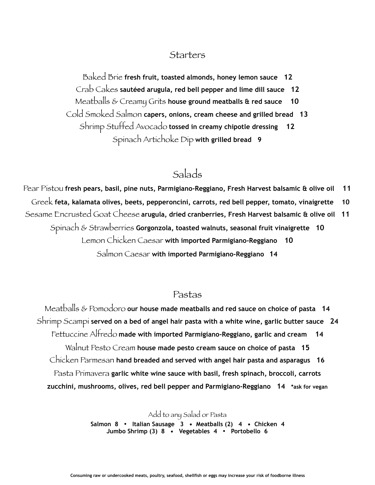#### **Starters**

Baked Brie **fresh fruit, toasted almonds, honey lemon sauce 12** Crab Cakes **sautéed arugula, red bell pepper and lime dill sauce 12**  Meatballs & Creamy Grits **house ground meatballs & red sauce 10** Cold Smoked Salmon **capers, onions, cream cheese and grilled bread 13**  Shrimp Stuffed Avocado **tossed in creamy chipotle dressing 12**  Spinach Artichoke Dip **with grilled bread 9** 

## Salads

Pear Pistou **fresh pears, basil, pine nuts, Parmigiano-Reggiano, Fresh Harvest balsamic & olive oil 11**  Greek **feta, kalamata olives, beets, pepperoncini, carrots, red bell pepper, tomato, vinaigrette 10**  Sesame Encrusted Goat Cheese **arugula, dried cranberries, Fresh Harvest balsamic & olive oil 11**  Spinach & Strawberries **Gorgonzola, toasted walnuts, seasonal fruit vinaigrette 10** Lemon Chicken Caesar **with imported Parmigiano-Reggiano 10** Salmon Caesar **with imported Parmigiano-Reggiano 14**

#### Pastas

Meatballs & Pomodoro **our house made meatballs and red sauce on choice of pasta 14** Shrimp Scampi **served on a bed of angel hair pasta with a white wine, garlic butter sauce 24** Fettuccine Alfredo **made with imported Parmigiano-Reggiano, garlic and cream 14** Walnut Pesto Cream **house made pesto cream sauce on choice of pasta 15** Chicken Parmesan **hand breaded and served with angel hair pasta and asparagus 16** Pasta Primavera **garlic white wine sauce with basil, fresh spinach, broccoli, carrots zucchini, mushrooms, olives, red bell pepper and Parmigiano-Reggiano 14 \*ask for vegan** 

> Add to any Salad or Pasta **Salmon 8** • **Italian Sausage 3 • Meatballs (2) 4 • Chicken 4 Jumbo Shrimp (3) 8 • Vegetables 4** • **Portobello 6**